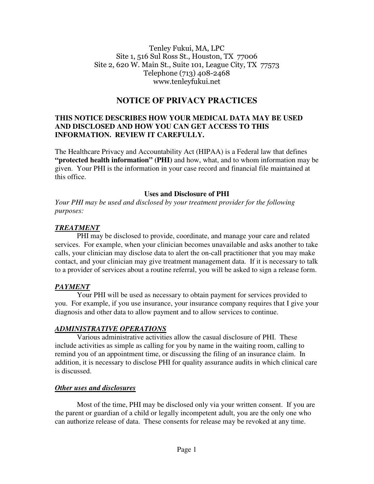#### Tenley Fukui, MA, LPC Site 1, 516 Sul Ross St., Houston, TX 77006 Site 2, 620 W. Main St., Suite 101, League City, TX 77573 Telephone (713) 408-2468 www.tenleyfukui.net

# **NOTICE OF PRIVACY PRACTICES**

## **THIS NOTICE DESCRIBES HOW YOUR MEDICAL DATA MAY BE USED AND DISCLOSED AND HOW YOU CAN GET ACCESS TO THIS INFORMATION. REVIEW IT CAREFULLY.**

The Healthcare Privacy and Accountability Act (HIPAA) is a Federal law that defines **"protected health information" (PHI)** and how, what, and to whom information may be given. Your PHI is the information in your case record and financial file maintained at this office.

#### **Uses and Disclosure of PHI**

*Your PHI may be used and disclosed by your treatment provider for the following purposes:* 

#### *TREATMENT*

PHI may be disclosed to provide, coordinate, and manage your care and related services. For example, when your clinician becomes unavailable and asks another to take calls, your clinician may disclose data to alert the on-call practitioner that you may make contact, and your clinician may give treatment management data. If it is necessary to talk to a provider of services about a routine referral, you will be asked to sign a release form.

## *PAYMENT*

 Your PHI will be used as necessary to obtain payment for services provided to you. For example, if you use insurance, your insurance company requires that I give your diagnosis and other data to allow payment and to allow services to continue.

## *ADMINISTRATIVE OPERATIONS*

 Various administrative activities allow the casual disclosure of PHI. These include activities as simple as calling for you by name in the waiting room, calling to remind you of an appointment time, or discussing the filing of an insurance claim. In addition, it is necessary to disclose PHI for quality assurance audits in which clinical care is discussed.

## *Other uses and disclosures*

 Most of the time, PHI may be disclosed only via your written consent. If you are the parent or guardian of a child or legally incompetent adult, you are the only one who can authorize release of data. These consents for release may be revoked at any time.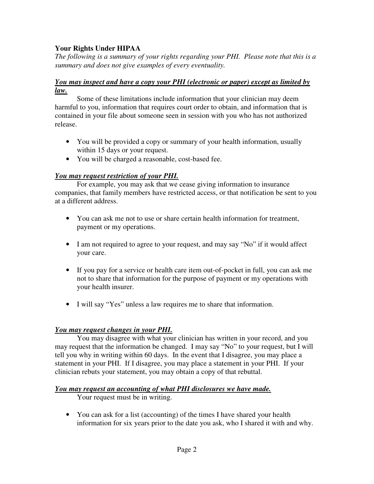# **Your Rights Under HIPAA**

*The following is a summary of your rights regarding your PHI. Please note that this is a summary and does not give examples of every eventuality.* 

## *You may inspect and have a copy your PHI (electronic or paper) except as limited by law.*

Some of these limitations include information that your clinician may deem harmful to you, information that requires court order to obtain, and information that is contained in your file about someone seen in session with you who has not authorized release.

- You will be provided a copy or summary of your health information, usually within 15 days or your request.
- You will be charged a reasonable, cost-based fee.

## *You may request restriction of your PHI.*

 For example, you may ask that we cease giving information to insurance companies, that family members have restricted access, or that notification be sent to you at a different address.

- You can ask me not to use or share certain health information for treatment, payment or my operations.
- I am not required to agree to your request, and may say "No" if it would affect your care.
- If you pay for a service or health care item out-of-pocket in full, you can ask me not to share that information for the purpose of payment or my operations with your health insurer.
- I will say "Yes" unless a law requires me to share that information.

## *You may request changes in your PHI.*

You may disagree with what your clinician has written in your record, and you may request that the information be changed. I may say "No" to your request, but I will tell you why in writing within 60 days. In the event that I disagree, you may place a statement in your PHI. If I disagree, you may place a statement in your PHI. If your clinician rebuts your statement, you may obtain a copy of that rebuttal.

## *You may request an accounting of what PHI disclosures we have made.*

Your request must be in writing.

• You can ask for a list (accounting) of the times I have shared your health information for six years prior to the date you ask, who I shared it with and why.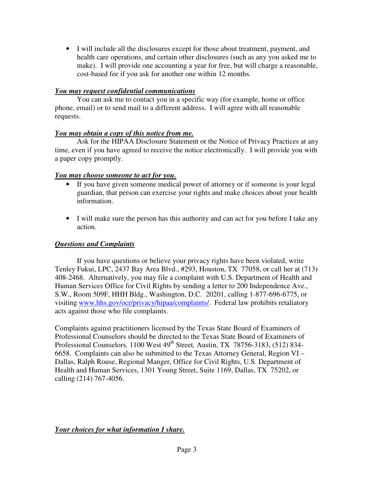• I will include all the disclosures except for those about treatment, payment, and health care operations, and certain other disclosures (such as any you asked me to make). I will provide one accounting a year for free, but will charge a reasonable, cost-based fee if you ask for another one within 12 months.

## *You may request confidential communications*

 You can ask me to contact you in a specific way (for example, home or office phone, email) or to send mail to a different address. I will agree with all reasonable requests.

## *You may obtain a copy of this notice from me.*

 Ask for the HIPAA Disclosure Statement or the Notice of Privacy Practices at any time, even if you have agreed to receive the notice electronically. I will provide you with a paper copy promptly.

# *You may choose someone to act for you.*

- If you have given someone medical power of attorney or if someone is your legal guardian, that person can exercise your rights and make choices about your health information.
- I will make sure the person has this authority and can act for you before I take any action.

# *Questions and Complaints*

If you have questions or believe your privacy rights have been violated, write Tenley Fukui, LPC, 2437 Bay Area Blvd., #293, Houston, TX 77058, or call her at (713) 408-2468. Alternatively, you may file a complaint with U.S. Department of Health and Human Services Office for Civil Rights by sending a letter to 200 Independence Ave., S.W., Room 509F, HHH Bldg., Washington, D.C. 20201, calling 1-877-696-6775, or visiting www.hhs.gov/ocr/privacy/hipaa/complaints/. Federal law prohibits retaliatory acts against those who file complaints.

Complaints against practitioners licensed by the Texas State Board of Examiners of Professional Counselors should be directed to the Texas State Board of Examiners of Professional Counselors*,* 1100 West 49th Street*,* Austin, TX 78756-3183, (512) 834- 6658. Complaints can also be submitted to the Texas Attorney General, Region VI – Dallas, Ralph Rouse, Regional Manger, Office for Civil Rights, U.S. Department of Health and Human Services, 1301 Young Street, Suite 1169, Dallas, TX 75202, or calling (214) 767-4056.

*Your choices for what information I share.*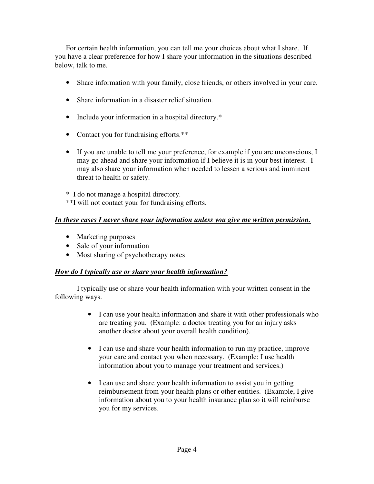For certain health information, you can tell me your choices about what I share. If you have a clear preference for how I share your information in the situations described below, talk to me.

- Share information with your family, close friends, or others involved in your care.
- Share information in a disaster relief situation.
- Include your information in a hospital directory.\*
- Contact you for fundraising efforts.\*\*
- If you are unable to tell me your preference, for example if you are unconscious, I may go ahead and share your information if I believe it is in your best interest. I may also share your information when needed to lessen a serious and imminent threat to health or safety.

\* I do not manage a hospital directory. \*\*I will not contact your for fundraising efforts.

# *In these cases I never share your information unless you give me written permission.*

- Marketing purposes
- Sale of your information
- Most sharing of psychotherapy notes

## *How do I typically use or share your health information?*

I typically use or share your health information with your written consent in the following ways.

- I can use your health information and share it with other professionals who are treating you. (Example: a doctor treating you for an injury asks another doctor about your overall health condition).
- I can use and share your health information to run my practice, improve your care and contact you when necessary. (Example: I use health information about you to manage your treatment and services.)
- I can use and share your health information to assist you in getting reimbursement from your health plans or other entities. (Example, I give information about you to your health insurance plan so it will reimburse you for my services.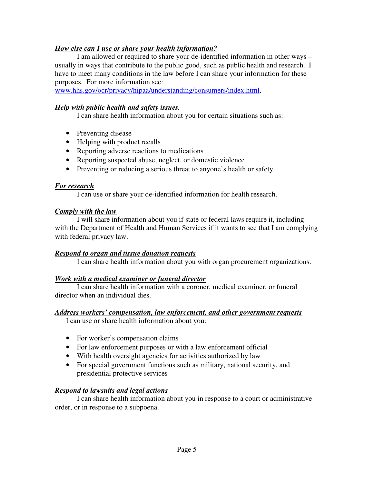## *How else can I use or share your health information?*

I am allowed or required to share your de-identified information in other ways – usually in ways that contribute to the public good, such as public health and research. I have to meet many conditions in the law before I can share your information for these purposes. For more information see:

www.hhs.gov/ocr/privacy/hipaa/understanding/consumers/index.html.

## *Help with public health and safety issues.*

I can share health information about you for certain situations such as:

- Preventing disease
- Helping with product recalls
- Reporting adverse reactions to medications
- Reporting suspected abuse, neglect, or domestic violence
- Preventing or reducing a serious threat to anyone's health or safety

## *For research*

I can use or share your de-identified information for health research.

#### *Comply with the law*

 I will share information about you if state or federal laws require it, including with the Department of Health and Human Services if it wants to see that I am complying with federal privacy law.

## *Respond to organ and tissue donation requests*

I can share health information about you with organ procurement organizations.

## *Work with a medical examiner or funeral director*

I can share health information with a coroner, medical examiner, or funeral director when an individual dies.

## *Address workers' compensation, law enforcement, and other government requests*

I can use or share health information about you:

- For worker's compensation claims
- For law enforcement purposes or with a law enforcement official
- With health oversight agencies for activities authorized by law
- For special government functions such as military, national security, and presidential protective services

## *Respond to lawsuits and legal actions*

I can share health information about you in response to a court or administrative order, or in response to a subpoena.